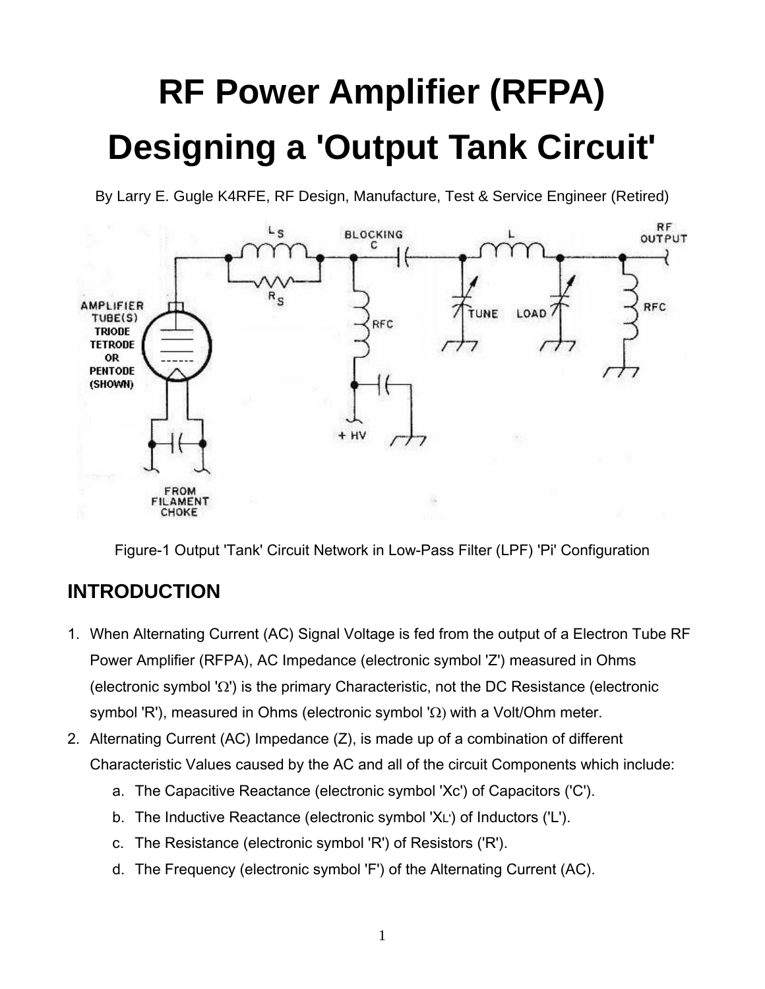# **RF Power Amplifier (RFPA) Designing a 'Output Tank Circuit'**

By Larry E. Gugle K4RFE, RF Design, Manufacture, Test & Service Engineer (Retired)



Figure-1 Output 'Tank' Circuit Network in Low-Pass Filter (LPF) 'Pi' Configuration

## **INTRODUCTION**

- 1. When Alternating Current (AC) Signal Voltage is fed from the output of a Electron Tube RF Power Amplifier (RFPA), AC Impedance (electronic symbol 'Z') measured in Ohms (electronic symbol ' $\Omega$ ') is the primary Characteristic, not the DC Resistance (electronic symbol 'R'), measured in Ohms (electronic symbol ' $\Omega$ ) with a Volt/Ohm meter.
- 2. Alternating Current (AC) Impedance (Z), is made up of a combination of different Characteristic Values caused by the AC and all of the circuit Components which include:
	- a. The Capacitive Reactance (electronic symbol 'Xc') of Capacitors ('C').
	- b. The Inductive Reactance (electronic symbol 'XL') of Inductors ('L').
	- c. The Resistance (electronic symbol 'R') of Resistors ('R').
	- d. The Frequency (electronic symbol 'F') of the Alternating Current (AC).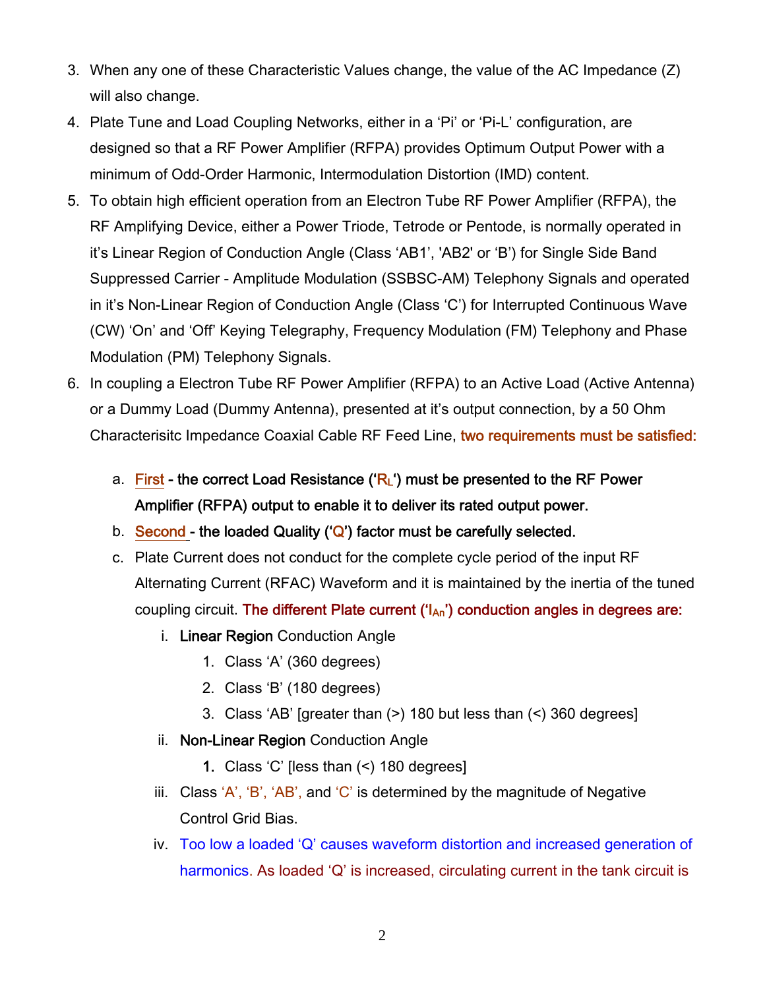- 3. When any one of these Characteristic Values change, the value of the AC Impedance (Z) will also change.
- 4. Plate Tune and Load Coupling Networks, either in a 'Pi' or 'Pi-L' configuration, are designed so that a RF Power Amplifier (RFPA) provides Optimum Output Power with a minimum of Odd-Order Harmonic, Intermodulation Distortion (IMD) content.
- 5. To obtain high efficient operation from an Electron Tube RF Power Amplifier (RFPA), the RF Amplifying Device, either a Power Triode, Tetrode or Pentode, is normally operated in it's Linear Region of Conduction Angle (Class 'AB1', 'AB2' or 'B') for Single Side Band Suppressed Carrier - Amplitude Modulation (SSBSC-AM) Telephony Signals and operated in it's Non-Linear Region of Conduction Angle (Class 'C') for Interrupted Continuous Wave (CW) 'On' and 'Off' Keying Telegraphy, Frequency Modulation (FM) Telephony and Phase Modulation (PM) Telephony Signals.
- 6. In coupling a Electron Tube RF Power Amplifier (RFPA) to an Active Load (Active Antenna) or a Dummy Load (Dummy Antenna), presented at it's output connection, by a 50 Ohm Characterisitc Impedance Coaxial Cable RF Feed Line, two requirements must be satisfied:
	- a. First the correct Load Resistance ( $R_L$ ) must be presented to the RF Power Amplifier (RFPA) output to enable it to deliver its rated output power.
	- b. Second the loaded Quality  $({\mathbb Q})$  factor must be carefully selected.
	- c. Plate Current does not conduct for the complete cycle period of the input RF Alternating Current (RFAC) Waveform and it is maintained by the inertia of the tuned coupling circuit. The different Plate current  $(\mathsf{I}_{\mathsf{An}})$  conduction angles in degrees are:
		- i. Linear Region Conduction Angle
			- 1. Class 'A' (360 degrees)
			- 2. Class 'B' (180 degrees)
			- 3. Class 'AB' [greater than (>) 180 but less than (<) 360 degrees]
		- ii. Non-Linear Region Conduction Angle
			- 1. Class 'C' [less than (<) 180 degrees]
		- iii. Class  $'A'$ ,  $'B'$ ,  $AB'$ , and  $'C'$  is determined by the magnitude of Negative Control Grid Bias.
		- iv. Too low a loaded 'Q' causes waveform distortion and increased generation of harmonics. As loaded 'Q' is increased, circulating current in the tank circuit is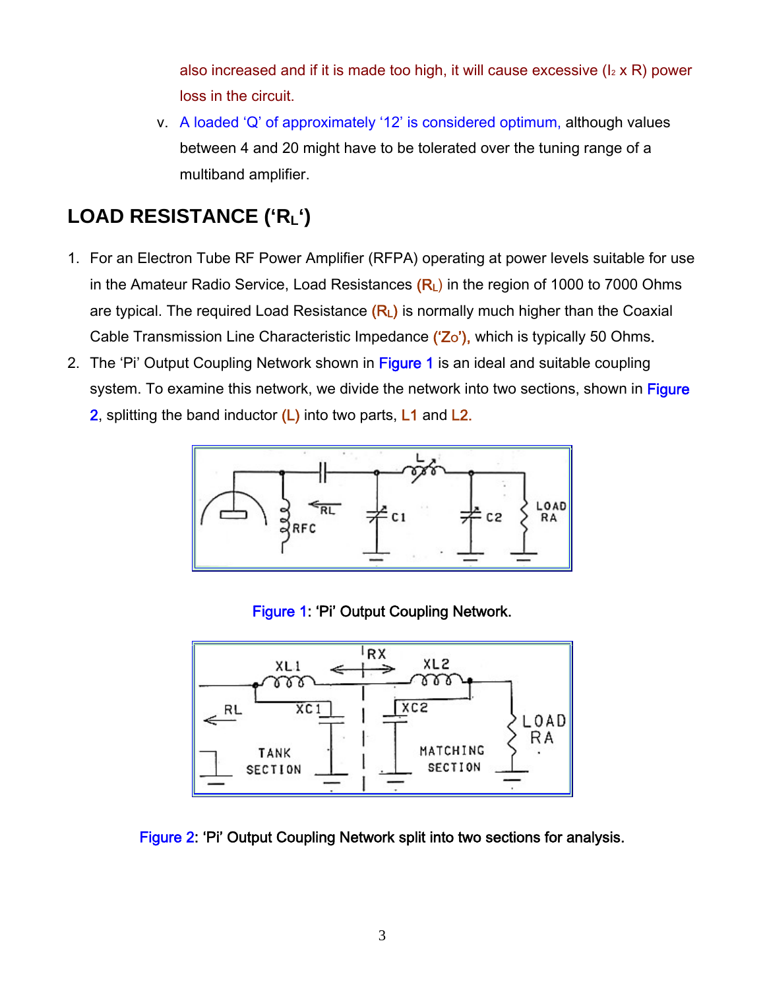also increased and if it is made too high, it will cause excessive  $(I_2 \times R)$  power loss in the circuit.

v. A loaded 'Q' of approximately '12' is considered optimum, although values between 4 and 20 might have to be tolerated over the tuning range of a multiband amplifier.

# **LOAD RESISTANCE ('RL')**

- 1. For an Electron Tube RF Power Amplifier (RFPA) operating at power levels suitable for use in the Amateur Radio Service, Load Resistances  $(R<sub>L</sub>)$  in the region of 1000 to 7000 Ohms are typical. The required Load Resistance  $(R<sub>L</sub>)$  is normally much higher than the Coaxial Cable Transmission Line Characteristic Impedance ('Zo'), which is typically 50 Ohms.
- 2. The 'Pi' Output Coupling Network shown in Figure 1 is an ideal and suitable coupling system. To examine this network, we divide the network into two sections, shown in Figure 2, splitting the band inductor  $(L)$  into two parts,  $L1$  and  $L2$ .



Figure 1: 'Pi' Output Coupling Network.



Figure 2: 'Pi' Output Coupling Network split into two sections for analysis.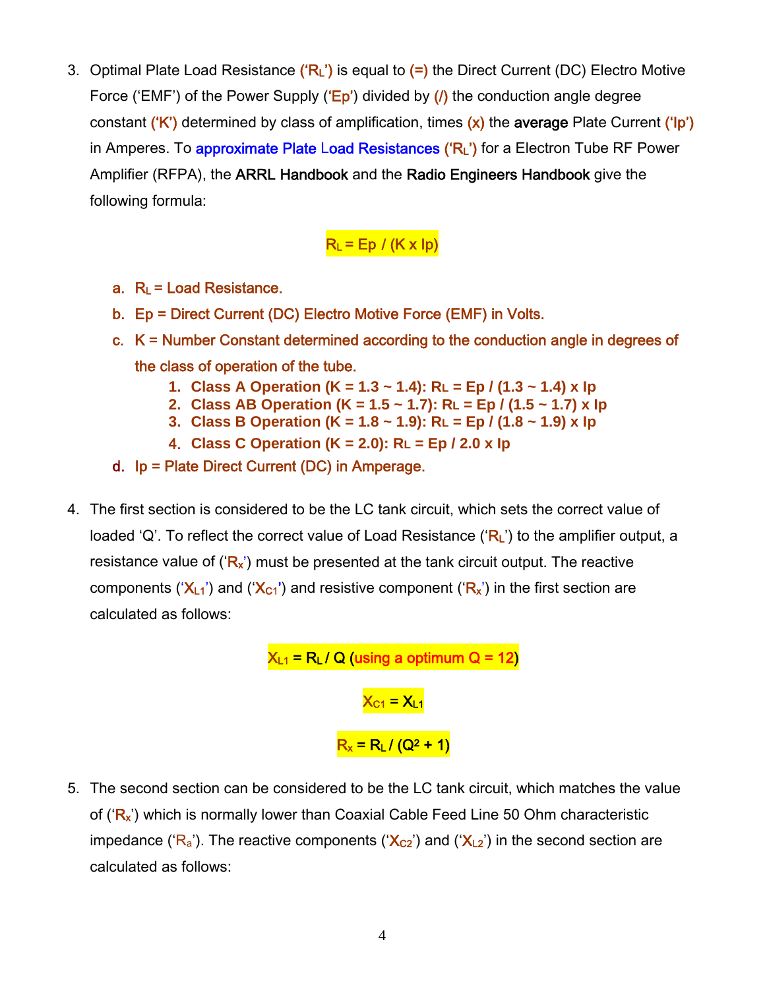3. Optimal Plate Load Resistance  $({R_1})$  is equal to  $(=)$  the Direct Current (DC) Electro Motive Force ('EMF') of the Power Supply (' $Ep'$ ) divided by ( $\prime$ ) the conduction angle degree constant ('K') determined by class of amplification, times  $(x)$  the average Plate Current ('|p') in Amperes. To approximate Plate Load Resistances ('RL') for a Electron Tube RF Power Amplifier (RFPA), the ARRL Handbook and the Radio Engineers Handbook give the following formula:

#### $R_L$  = Ep / (K x lp)

- a.  $R_L$  = Load Resistance.
- b. Ep = Direct Current (DC) Electro Motive Force (EMF) in Volts.
- c. K = Number Constant determined according to the conduction angle in degrees of the class of operation of the tube.
	- **1. Class A Operation (K = 1.3 ~ 1.4): RL = Ep / (1.3 ~ 1.4) x Ip**
	- **2. Class AB Operation (K = 1.5 ~ 1.7): RL = Ep / (1.5 ~ 1.7) x Ip**
	- **3. Class B Operation (K = 1.8 ~ 1.9): RL = Ep / (1.8 ~ 1.9) x Ip**
	- 4. **Class C Operation (K = 2.0): RL = Ep / 2.0 x Ip**
- d. Ip = Plate Direct Current (DC) in Amperage.
- 4. The first section is considered to be the LC tank circuit, which sets the correct value of loaded 'Q'. To reflect the correct value of Load Resistance (' $R<sub>L</sub>$ ') to the amplifier output, a resistance value of  $(\mathbf{R}_{x})$  must be presented at the tank circuit output. The reactive components (' $X_{L1}$ ') and (' $X_{C1}$ ') and resistive component (' $R_x$ ') in the first section are calculated as follows:

$$
X_{L1} = R_L / Q (using a optimum Q = 12)
$$
  

$$
X_{C1} = X_{L1}
$$
  

$$
R_x = R_L / (Q^2 + 1)
$$

5. The second section can be considered to be the LC tank circuit, which matches the value of  $({}^{\circ}R_{x}{}^{\prime})$  which is normally lower than Coaxial Cable Feed Line 50 Ohm characteristic impedance (' $R_a$ '). The reactive components (' $X_{C2}$ ') and (' $X_{L2}$ ') in the second section are calculated as follows: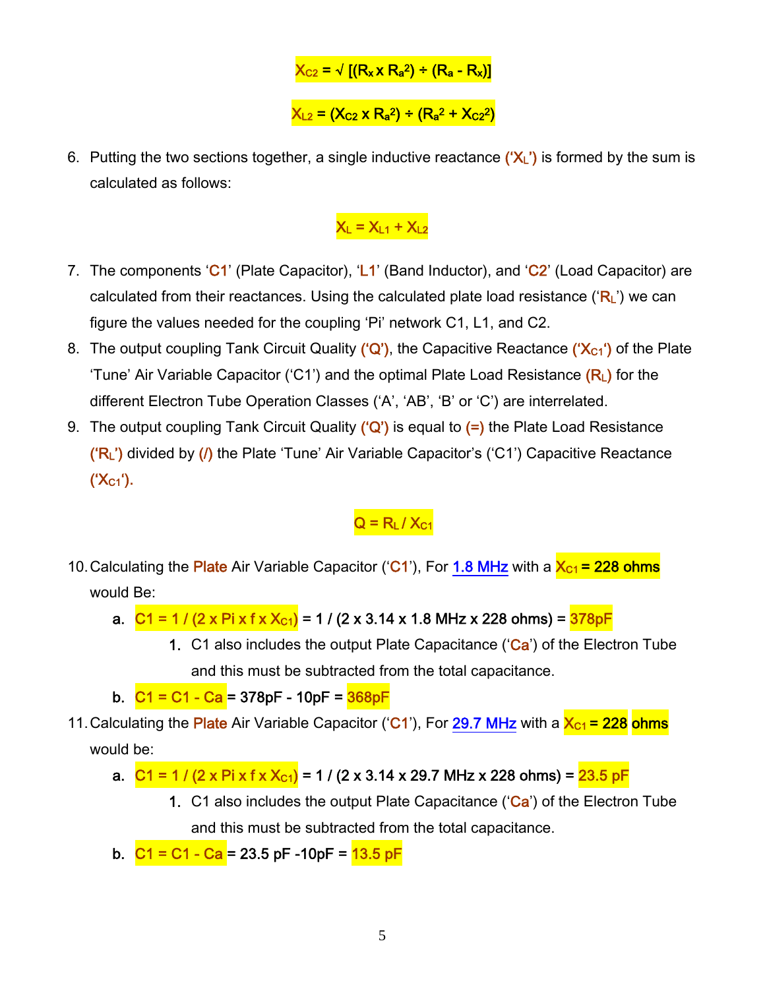$$
X_{C2} = \sqrt{[(R_x \times R_a^2) \div (R_a - R_x)]}
$$
  

$$
X_{L2} = (X_{C2} \times R_a^2) \div (R_a^2 + X_{C2}^2)
$$

6. Putting the two sections together, a single inductive reactance  $(\mathbf{X}_L)$  is formed by the sum is calculated as follows:

#### $X_L = X_{L1} + X_{L2}$

- 7. The components 'C1' (Plate Capacitor), 'L1' (Band Inductor), and 'C2' (Load Capacitor) are calculated from their reactances. Using the calculated plate load resistance ( $R_L$ ) we can figure the values needed for the coupling 'Pi' network C1, L1, and C2.
- 8. The output coupling Tank Circuit Quality ('Q'), the Capacitive Reactance (' $X_{C1}$ ') of the Plate 'Tune' Air Variable Capacitor ('C1') and the optimal Plate Load Resistance  $(R<sub>L</sub>)$  for the different Electron Tube Operation Classes ('A', 'AB', 'B' or 'C') are interrelated.
- 9. The output coupling Tank Circuit Quality  $({^{\circ}Q}_{\circ})$  is equal to  $(=)$  the Plate Load Resistance  $('R<sub>L</sub>')$  divided by  $($ ) the Plate 'Tune' Air Variable Capacitor's ('C1') Capacitive Reactance  $(X_{C1})$ .

 $Q = R<sub>L</sub>/X<sub>C1</sub>$ 

- 10. Calculating the Plate Air Variable Capacitor ('C1'), For 1.8 MHz with a  $X_{C1}$  = 228 ohms would Be:
	- a.  $C1 = 1 / (2 \times \text{Pi} \times \text{f} \times X_{c1}) = 1 / (2 \times 3.14 \times 1.8 \text{ MHz} \times 228 \text{ ohms}) = \frac{378 \text{pF}}{2}$ 
		- 1. C1 also includes the output Plate Capacitance ( $Ca$ ) of the Electron Tube and this must be subtracted from the total capacitance.
	- b.  $C1 = C1 Ca = 378pF 10pF = 368pF$
- 11. Calculating the Plate Air Variable Capacitor ('C1'), For 29.7 MHz with a  $X_{C1}$  = 228 ohms would be:
	- a.  $C1 = 1 / (2 \times \text{Pi} \times \text{f} \times X_{c1}) = 1 / (2 \times 3.14 \times 29.7 \text{ MHz} \times 228 \text{ ohms}) = 23.5 \text{ pF}$ 
		- 1. C1 also includes the output Plate Capacitance ('Ca') of the Electron Tube and this must be subtracted from the total capacitance.
	- b.  $C1 = C1 Ca = 23.5$  pF -10pF =  $13.5$  pF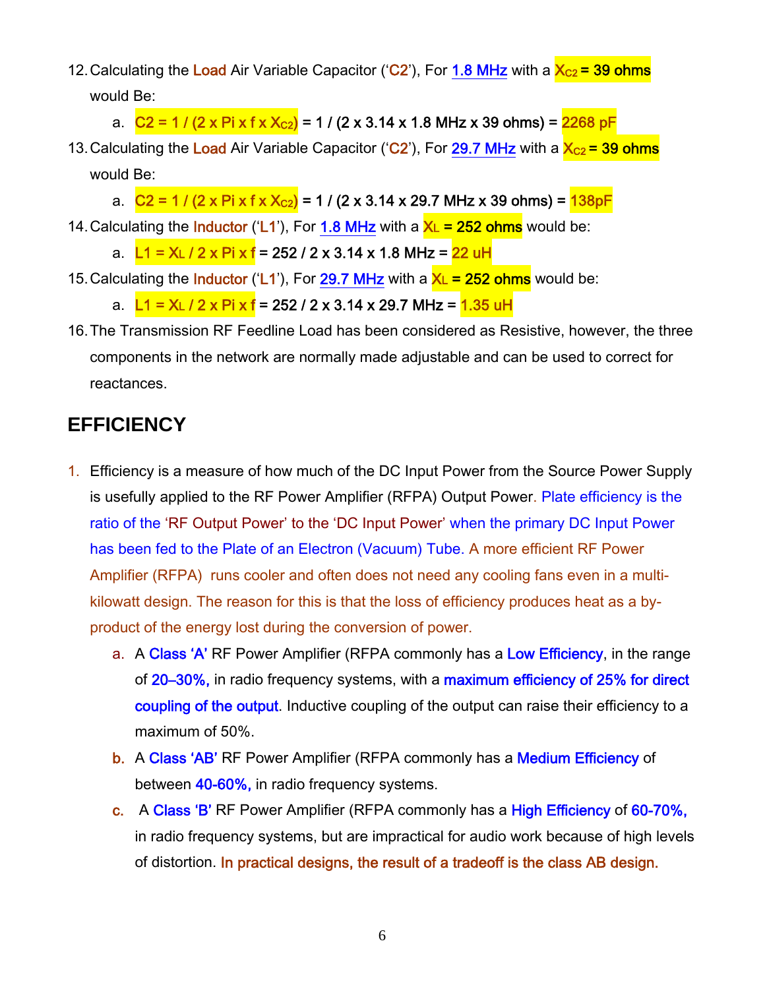- 12. Calculating the Load Air Variable Capacitor ('C2'), For 1.8 MHz with a  $X_{C2}$  = 39 ohms would Be:
	- a.  $C2 = 1 / (2 \times \text{Pi} \times \text{f} \times X_{C2}) = 1 / (2 \times 3.14 \times 1.8 \text{ MHz} \times 39 \text{ ohms}) = 2268 \text{ pF}$
- 13. Calculating the Load Air Variable Capacitor ('C2'), For 29.7 MHz with a  $X_{C2}$  = 39 ohms would Be:
	- a.  $C2 = 1 / (2 \times \text{Pi} \times \text{f} \times X_{c2}) = 1 / (2 \times 3.14 \times 29.7 \text{ MHz} \times 39 \text{ ohms}) = 138 \text{pF}$
- 14. Calculating the **Inductor** ('L1'), For 1.8 MHz with a  $X_L = 252$  ohms would be:
	- a. L1 = XL / 2 x Pi x f = 252 / 2 x 3.14 x 1.8 MHz = 22 uH
- 15. Calculating the **Inductor** ('L1'), For 29.7 MHz with a  $X_L = 252$  ohms would be:
	- a. L1 = XL / 2 x Pi x f = 252 / 2 x 3.14 x 29.7 MHz = <mark>1.35 uH</mark>
- 16. The Transmission RF Feedline Load has been considered as Resistive, however, the three components in the network are normally made adjustable and can be used to correct for reactances.

#### **EFFICIENCY**

- 1. Efficiency is a measure of how much of the DC Input Power from the Source Power Supply is usefully applied to the RF Power Amplifier (RFPA) Output Power. Plate efficiency is the ratio of the 'RF Output Power' to the 'DC Input Power' when the primary DC Input Power has been fed to the Plate of an Electron (Vacuum) Tube. A more efficient RF Power Amplifier (RFPA) runs cooler and often does not need any cooling fans even in a multikilowatt design. The reason for this is that the loss of efficiency produces heat as a byproduct of the energy lost during the conversion of power.
	- a. A Class 'A' RF Power Amplifier (RFPA commonly has a Low Efficiency, in the range of 20–30%, in radio frequency systems, with a maximum efficiency of 25% for direct coupling of the output. Inductive coupling of the output can raise their efficiency to a maximum of 50%.
	- b. A Class 'AB' RF Power Amplifier (RFPA commonly has a Medium Efficiency of between 40-60%, in radio frequency systems.
	- c. A Class 'B' RF Power Amplifier (RFPA commonly has a High Efficiency of 60-70%, in radio frequency systems, but are impractical for audio work because of high levels of distortion. In practical designs, the result of a tradeoff is the class AB design.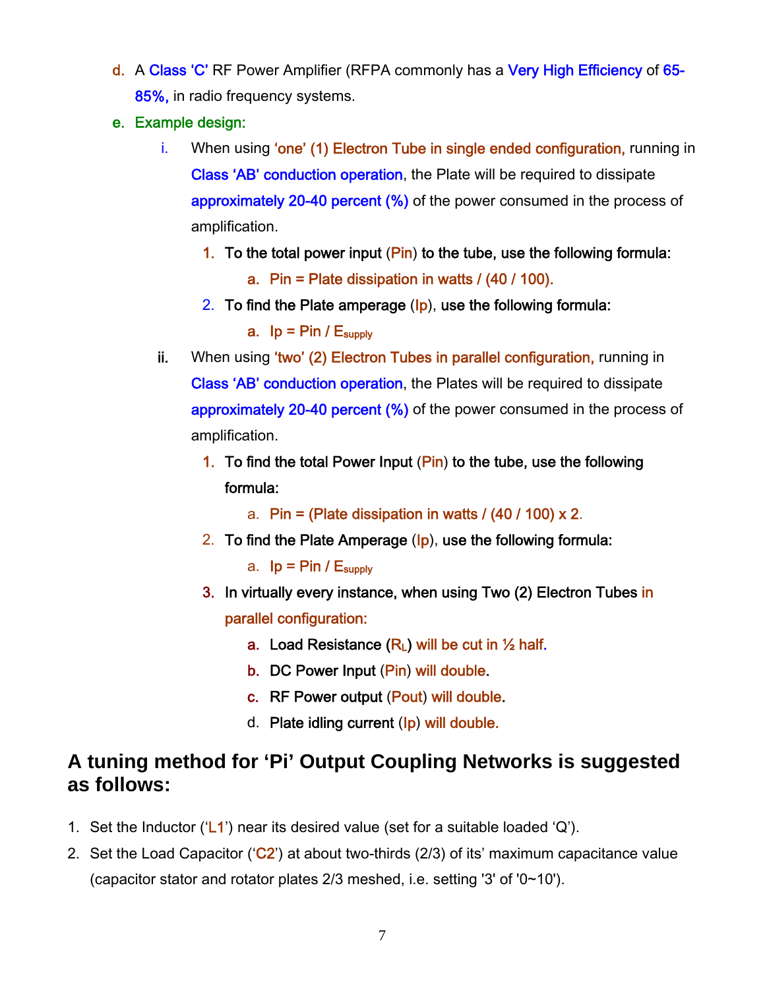- d. A Class 'C' RF Power Amplifier (RFPA commonly has a Very High Efficiency of 65-85%, in radio frequency systems.
- e. Example design:
	- i. When using **'one' (1) Electron Tube in single ended configuration**, running in Class 'AB' conduction operation, the Plate will be required to dissipate approximately 20-40 percent (%) of the power consumed in the process of amplification.
		- 1. To the total power input  $(\mathsf{Pin})$  to the tube, use the following formula: a. Pin = Plate dissipation in watts / (40 / 100).
		- 2. To find the Plate amperage  $(Ip)$ , use the following formula:

a.  $lp = Pin / E<sub>subply</sub>$ 

- ii. When using 'two' (2) Electron Tubes in parallel configuration, running in Class 'AB' conduction operation, the Plates will be required to dissipate approximately 20-40 percent (%) of the power consumed in the process of amplification.
	- 1. To find the total Power Input  $(Pin)$  to the tube, use the following formula:
		- a. Pin = (Plate dissipation in watts /  $(40/100) \times 2$ .
	- 2. To find the Plate Amperage  $\left(\mathsf{lp}\right)$ , use the following formula:

a.  $lp = Pin / E<sub>subolv</sub>$ 

- 3. In virtually every instance, when using Two (2) Electron Tubes in parallel configuration:
	- a. Load Resistance  $(R<sub>L</sub>)$  will be cut in  $\frac{1}{2}$  half.
	- b. DC Power Input (Pin) will double.
	- c. RF Power output (Pout) will double.
	- d. Plate idling current (Ip) will double.

#### **A tuning method for 'Pi' Output Coupling Networks is suggested as follows:**

- 1. Set the Inductor ( $\mathsf{L}$ 1) near its desired value (set for a suitable loaded  $\mathsf{Q}$ ).
- 2. Set the Load Capacitor ( $C2$ ) at about two-thirds (2/3) of its' maximum capacitance value (capacitor stator and rotator plates 2/3 meshed, i.e. setting '3' of '0~10').